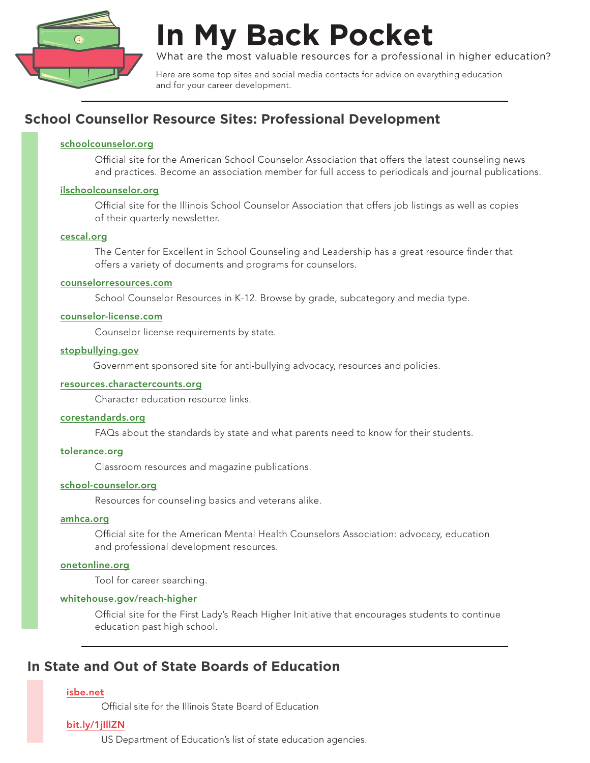

# **In My Back Pocket**

What are the most valuable resources for a professional in higher education?

Here are some top sites and social media contacts for advice on everything education and for your career development.

## **School Counsellor Resource Sites: Professional Development**

#### [schoolcounselor.org](https://www.schoolcounselor.org/)

Official site for the American School Counselor Association that offers the latest counseling news and practices. Become an association member for full access to periodicals and journal publications.

#### [ilschoolcounselor.org](http://ilschoolcounselor.org/)

Official site for the Illinois School Counselor Association that offers job listings as well as copies of their quarterly newsletter.

#### [cescal.org](http://cescal.org/)

The Center for Excellent in School Counseling and Leadership has a great resource finder that offers a variety of documents and programs for counselors.

#### [counselorresources.com](http://counselorresources.com/c/index.web?s@WkJfe9SJCOZCo)

School Counselor Resources in K-12. Browse by grade, subcategory and media type.

#### [counselor-license.com](http://www.counselor-license.com/)

Counselor license requirements by state.

#### [stopbullying.gov](https://www.stopbullying.gov/)

Government sponsored site for anti-bullying advocacy, resources and policies.

#### resources.[charactercounts.org](https://resources.charactercounts.org/)

Character education resource links.

#### [corestandards.org](http://www.corestandards.org/)

FAQs about the standards by state and what parents need to know for their students.

#### [tolerance.org](http://www.tolerance.org/)

Classroom resources and magazine publications.

#### [school-counselor.org](http://www.school-counselor.org/)

Resources for counseling basics and veterans alike.

#### [amhca.org](http://www.amhca.org/home)

Official site for the American Mental Health Counselors Association: advocacy, education and professional development resources.

#### [onetonline.org](https://www.onetonline.org/)

Tool for career searching.

#### [whitehouse.gov/reach-higher](https://obamawhitehouse.archives.gov/reach-higher)

Official site for the First Lady's Reach Higher Initiative that encourages students to continue education past high school.

## **In State and Out of State Boards of Education**

#### [isbe.net](https://www.isbe.net/)

Official site for the Illinois State Board of Education

#### [bit.ly/1jIllZN](https://www2.ed.gov/about/contacts/state/index.html?category_id=sea)

US Department of Education's list of state education agencies.